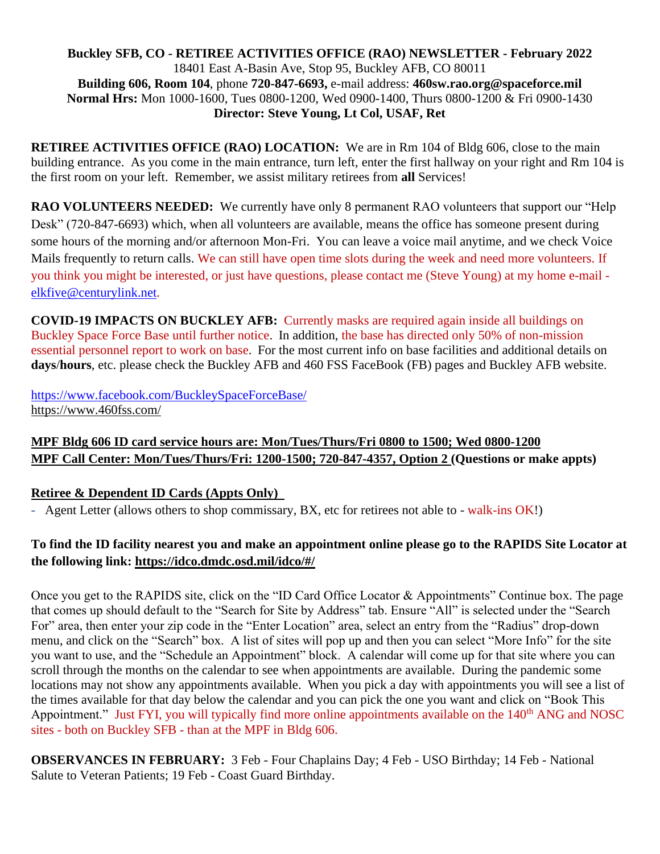#### **Buckley SFB, CO - RETIREE ACTIVITIES OFFICE (RAO) NEWSLETTER - February 2022** 18401 East A-Basin Ave, Stop 95, Buckley AFB, CO 80011 **Building 606, Room 104**, phone **720-847-6693,** e-mail address: **460sw.rao.org@spaceforce.mil Normal Hrs:** Mon 1000-1600, Tues 0800-1200, Wed 0900-1400, Thurs 0800-1200 & Fri 0900-1430 **Director: Steve Young, Lt Col, USAF, Ret**

**RETIREE ACTIVITIES OFFICE (RAO) LOCATION:** We are in Rm 104 of Bldg 606, close to the main building entrance. As you come in the main entrance, turn left, enter the first hallway on your right and Rm 104 is the first room on your left. Remember, we assist military retirees from **all** Services!

**RAO VOLUNTEERS NEEDED:** We currently have only 8 permanent RAO volunteers that support our "Help Desk" (720-847-6693) which, when all volunteers are available, means the office has someone present during some hours of the morning and/or afternoon Mon-Fri. You can leave a voice mail anytime, and we check Voice Mails frequently to return calls. We can still have open time slots during the week and need more volunteers. If you think you might be interested, or just have questions, please contact me (Steve Young) at my home e-mail [elkfive@centurylink.net.](mailto:elkfive@centurylink.net)

**COVID-19 IMPACTS ON BUCKLEY AFB:** Currently masks are required again inside all buildings on Buckley Space Force Base until further notice. In addition, the base has directed only 50% of non-mission essential personnel report to work on base. For the most current info on base facilities and additional details on **days**/**hours**, etc. please check the Buckley AFB and 460 FSS FaceBook (FB) pages and Buckley AFB website.

<https://www.facebook.com/BuckleySpaceForceBase/> <https://www.460fss.com/>

# **MPF Bldg 606 ID card service hours are: Mon/Tues/Thurs/Fri 0800 to 1500; Wed 0800-1200 MPF Call Center: Mon/Tues/Thurs/Fri: 1200-1500; 720-847-4357, Option 2 (Questions or make appts)**

## **Retiree & Dependent ID Cards (Appts Only)**

- Agent Letter (allows others to shop commissary, BX, etc for retirees not able to - walk-ins OK!)

## **To find the ID facility nearest you and make an appointment online please go to the RAPIDS Site Locator at the following link:<https://idco.dmdc.osd.mil/idco/#/>**

Once you get to the RAPIDS site, click on the "ID Card Office Locator & Appointments" Continue box. The page that comes up should default to the "Search for Site by Address" tab. Ensure "All" is selected under the "Search For" area, then enter your zip code in the "Enter Location" area, select an entry from the "Radius" drop-down menu, and click on the "Search" box. A list of sites will pop up and then you can select "More Info" for the site you want to use, and the "Schedule an Appointment" block. A calendar will come up for that site where you can scroll through the months on the calendar to see when appointments are available. During the pandemic some locations may not show any appointments available. When you pick a day with appointments you will see a list of the times available for that day below the calendar and you can pick the one you want and click on "Book This Appointment." Just FYI, you will typically find more online appointments available on the 140<sup>th</sup> ANG and NOSC sites - both on Buckley SFB - than at the MPF in Bldg 606.

**OBSERVANCES IN FEBRUARY:** 3 Feb - Four Chaplains Day; 4 Feb - USO Birthday; 14 Feb - National Salute to Veteran Patients; 19 Feb - Coast Guard Birthday.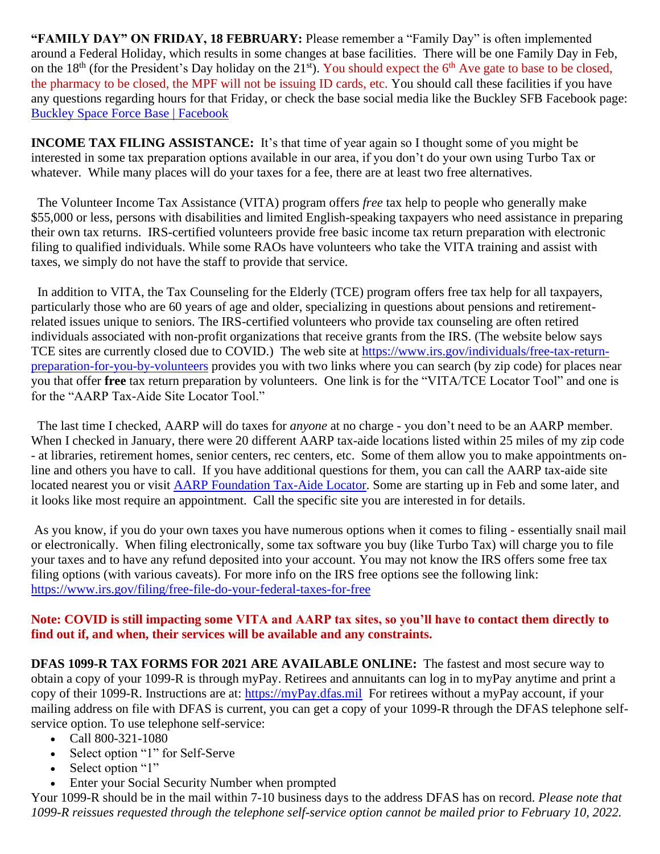**"FAMILY DAY" ON FRIDAY, 18 FEBRUARY:** Please remember a "Family Day" is often implemented around a Federal Holiday, which results in some changes at base facilities. There will be one Family Day in Feb, on the  $18<sup>th</sup>$  (for the President's Day holiday on the  $21<sup>st</sup>$ ). You should expect the  $6<sup>th</sup>$  Ave gate to base to be closed, the pharmacy to be closed, the MPF will not be issuing ID cards, etc. You should call these facilities if you have any questions regarding hours for that Friday, or check the base social media like the Buckley SFB Facebook page: [Buckley Space Force Base | Facebook](https://www.facebook.com/BuckleySpaceForceBase/)

**INCOME TAX FILING ASSISTANCE:** It's that time of year again so I thought some of you might be interested in some tax preparation options available in our area, if you don't do your own using Turbo Tax or whatever. While many places will do your taxes for a fee, there are at least two free alternatives.

 The Volunteer Income Tax Assistance (VITA) program offers *free* tax help to people who generally make \$55,000 or less, persons with disabilities and limited English-speaking taxpayers who need assistance in preparing their own tax returns. IRS-certified volunteers provide free basic income tax return preparation with electronic filing to qualified individuals. While some RAOs have volunteers who take the VITA training and assist with taxes, we simply do not have the staff to provide that service.

 In addition to VITA, the Tax Counseling for the Elderly (TCE) program offers free tax help for all taxpayers, particularly those who are 60 years of age and older, specializing in questions about pensions and retirementrelated issues unique to seniors. The IRS-certified volunteers who provide tax counseling are often retired individuals associated with non-profit organizations that receive grants from the IRS. (The website below says TCE sites are currently closed due to COVID.) The web site at [https://www.irs.gov/individuals/free-tax-return](https://www.irs.gov/individuals/free-tax-return-preparation-for-you-by-volunteers)[preparation-for-you-by-volunteers](https://www.irs.gov/individuals/free-tax-return-preparation-for-you-by-volunteers) provides you with two links where you can search (by zip code) for places near you that offer **free** tax return preparation by volunteers. One link is for the "VITA/TCE Locator Tool" and one is for the "AARP Tax-Aide Site Locator Tool."

 The last time I checked, AARP will do taxes for *anyone* at no charge - you don't need to be an AARP member. When I checked in January, there were 20 different AARP tax-aide locations listed within 25 miles of my zip code - at libraries, retirement homes, senior centers, rec centers, etc. Some of them allow you to make appointments online and others you have to call. If you have additional questions for them, you can call the AARP tax-aide site located nearest you or visit [AARP Foundation Tax-Aide Locator.](https://www.aarp.org/money/taxes/aarp_taxaide/locations.html?cmp=RDRCT-FNDTX_DEC23_010) Some are starting up in Feb and some later, and it looks like most require an appointment. Call the specific site you are interested in for details.

As you know, if you do your own taxes you have numerous options when it comes to filing - essentially snail mail or electronically. When filing electronically, some tax software you buy (like Turbo Tax) will charge you to file your taxes and to have any refund deposited into your account. You may not know the IRS offers some free tax filing options (with various caveats). For more info on the IRS free options see the following link: <https://www.irs.gov/filing/free-file-do-your-federal-taxes-for-free>

#### **Note: COVID is still impacting some VITA and AARP tax sites, so you'll have to contact them directly to find out if, and when, their services will be available and any constraints.**

**DFAS 1099-R TAX FORMS FOR 2021 ARE AVAILABLE ONLINE:** The fastest and most secure way to obtain a copy of your 1099-R is through myPay. Retirees and annuitants can log in to myPay anytime and print a copy of their 1099-R. Instructions are at: [https://myPay.dfas.mil](https://mypay.dfas.mil/) For retirees without a myPay account, if your mailing address on file with DFAS is current, you can get a copy of your 1099-R through the DFAS telephone selfservice option. To use telephone self-service:

- Call 800-321-1080
- Select option "1" for Self-Serve
- Select option "1"
- Enter your Social Security Number when prompted

Your 1099-R should be in the mail within 7-10 business days to the address DFAS has on record. *Please note that 1099-R reissues requested through the telephone self-service option cannot be mailed prior to February 10, 2022.*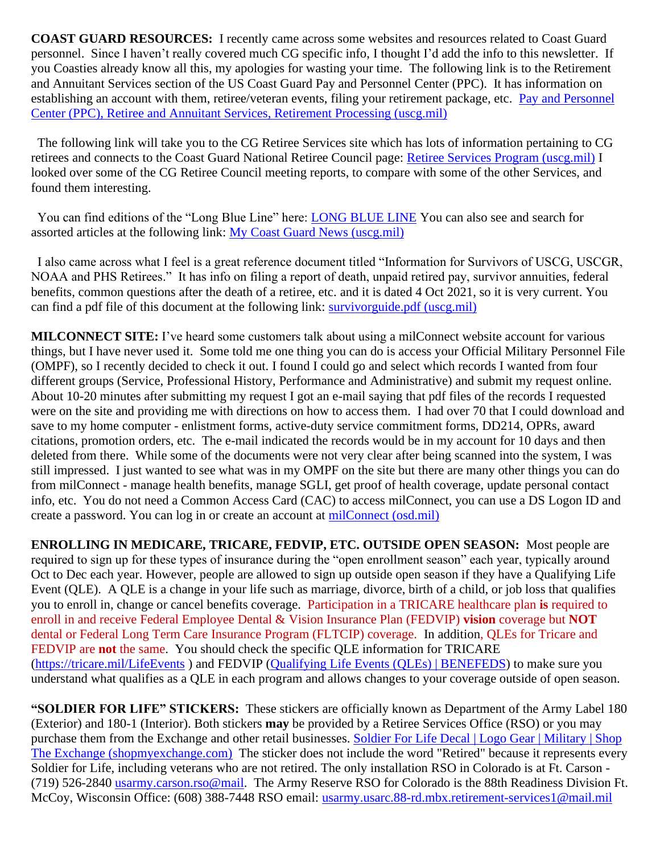**COAST GUARD RESOURCES:** I recently came across some websites and resources related to Coast Guard personnel. Since I haven't really covered much CG specific info, I thought I'd add the info to this newsletter. If you Coasties already know all this, my apologies for wasting your time. The following link is to the Retirement and Annuitant Services section of the US Coast Guard Pay and Personnel Center (PPC). It has information on establishing an account with them, retiree/veteran events, filing your retirement package, etc. [Pay and Personnel](https://www.dcms.uscg.mil/ppc/ras/RetirementProcessing/)  [Center \(PPC\), Retiree and Annuitant Services, Retirement Processing \(uscg.mil\)](https://www.dcms.uscg.mil/ppc/ras/RetirementProcessing/)

 The following link will take you to the CG Retiree Services site which has lots of information pertaining to CG retirees and connects to the Coast Guard National Retiree Council page: [Retiree Services Program \(uscg.mil\)](https://www.dcms.uscg.mil/Our-Organization/Assistant-Commandant-for-Human-Resources-CG-1/Retiree-Services-Program/) I looked over some of the CG Retiree Council meeting reports, to compare with some of the other Services, and found them interesting.

 You can find editions of the "Long Blue Line" here: [LONG BLUE LINE](https://www.longblueline.org/) You can also see and search for assorted articles at the following link: [My Coast Guard News \(uscg.mil\)](https://www.mycg.uscg.mil/News/Tag/182485/the-long-blue-line/)

 I also came across what I feel is a great reference document titled "Information for Survivors of USCG, USCGR, NOAA and PHS Retirees." It has info on filing a report of death, unpaid retired pay, survivor annuities, federal benefits, common questions after the death of a retiree, etc. and it is dated 4 Oct 2021, so it is very current. You can find a pdf file of this document at the following link: [survivorguide.pdf \(uscg.mil\)](https://www.dcms.uscg.mil/portals/10/cg-1/ppc/ras/survivorguide.pdf)

**MILCONNECT SITE:** I've heard some customers talk about using a milConnect website account for various things, but I have never used it. Some told me one thing you can do is access your Official Military Personnel File (OMPF), so I recently decided to check it out. I found I could go and select which records I wanted from four different groups (Service, Professional History, Performance and Administrative) and submit my request online. About 10-20 minutes after submitting my request I got an e-mail saying that pdf files of the records I requested were on the site and providing me with directions on how to access them. I had over 70 that I could download and save to my home computer - enlistment forms, active-duty service commitment forms, DD214, OPRs, award citations, promotion orders, etc. The e-mail indicated the records would be in my account for 10 days and then deleted from there. While some of the documents were not very clear after being scanned into the system, I was still impressed. I just wanted to see what was in my OMPF on the site but there are many other things you can do from milConnect - manage health benefits, manage SGLI, get proof of health coverage, update personal contact info, etc. You do not need a Common Access Card (CAC) to access milConnect, you can use a DS Logon ID and create a password. You can log in or create an account at [milConnect \(osd.mil\)](https://milconnect.dmdc.osd.mil/milconnect/)

**ENROLLING IN MEDICARE, TRICARE, FEDVIP, ETC. OUTSIDE OPEN SEASON:** Most people are required to sign up for these types of insurance during the "open enrollment season" each year, typically around Oct to Dec each year. However, people are allowed to sign up outside open season if they have a Qualifying Life Event (QLE). A QLE is a change in your life such as marriage, divorce, birth of a child, or job loss that qualifies you to enroll in, change or cancel benefits coverage. Participation in a TRICARE healthcare plan **is** required to enroll in and receive Federal Employee Dental & Vision Insurance Plan (FEDVIP) **vision** coverage but **NOT** dental or Federal Long Term Care Insurance Program (FLTCIP) coverage. In addition, QLEs for Tricare and FEDVIP are **not** the same. You should check the specific QLE information for TRICARE [\(https://tricare.mil/LifeEvents](https://tricare.mil/LifeEvents) ) and FEDVIP [\(Qualifying Life Events \(QLEs\) | BENEFEDS\)](https://www.benefeds.com/education-support/qles) to make sure you understand what qualifies as a QLE in each program and allows changes to your coverage outside of open season.

**"SOLDIER FOR LIFE" STICKERS:** These stickers are officially known as Department of the Army Label 180 (Exterior) and 180-1 (Interior). Both stickers **may** be provided by a Retiree Services Office (RSO) or you may purchase them from the Exchange and other retail businesses. [Soldier For Life Decal | Logo Gear | Military | Shop](https://www.shopmyexchange.com/soldier-for-life-decal/8060674)  [The Exchange \(shopmyexchange.com\)](https://www.shopmyexchange.com/soldier-for-life-decal/8060674) The sticker does not include the word "Retired" because it represents every Soldier for Life, including veterans who are not retired. The only installation RSO in Colorado is at Ft. Carson - (719) 526-2840 [usarmy.carson.rso@mail.](mailto:usarmy.carson.rso@mail) The Army Reserve RSO for Colorado is the 88th Readiness Division Ft. McCoy, Wisconsin Office: (608) 388-7448 RSO email: [usarmy.usarc.88-rd.mbx.retirement-services1@mail.mil](mailto:usarmy.usarc.88-rd.mbx.retirement-services1@mail.mil)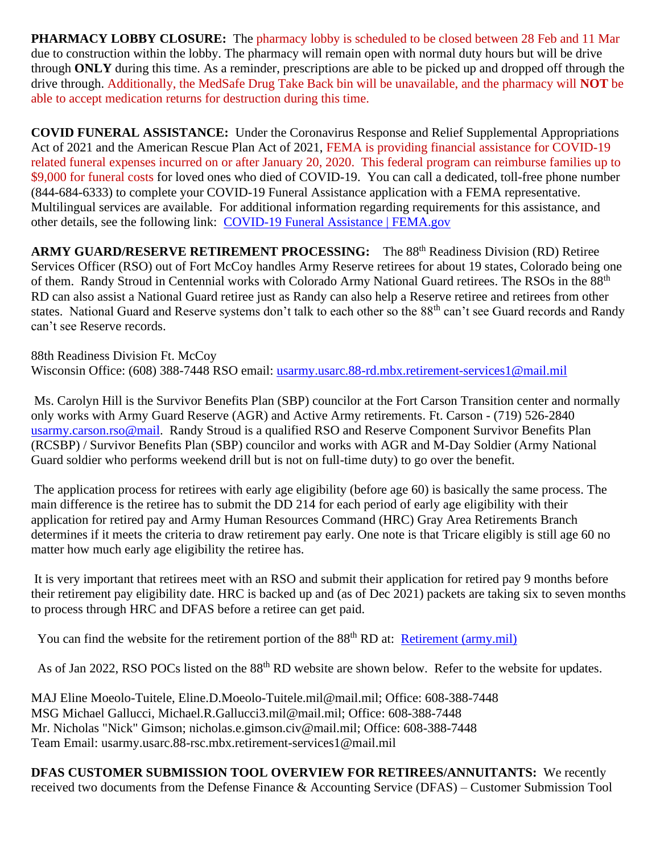**PHARMACY LOBBY CLOSURE:** The pharmacy lobby is scheduled to be closed between 28 Feb and 11 Mar due to construction within the lobby. The pharmacy will remain open with normal duty hours but will be drive through **ONLY** during this time. As a reminder, prescriptions are able to be picked up and dropped off through the drive through. Additionally, the MedSafe Drug Take Back bin will be unavailable, and the pharmacy will **NOT** be able to accept medication returns for destruction during this time.

**COVID FUNERAL ASSISTANCE:** Under the Coronavirus Response and Relief Supplemental Appropriations Act of 2021 and the American Rescue Plan Act of 2021, FEMA is providing financial assistance for COVID-19 related funeral expenses incurred on or after January 20, 2020. This federal program can reimburse families up to \$9,000 for funeral costs for loved ones who died of COVID-19. You can call a dedicated, toll-free phone number (844-684-6333) to complete your COVID-19 Funeral Assistance application with a FEMA representative. Multilingual services are available. For additional information regarding requirements for this assistance, and other details, see the following link: [COVID-19 Funeral Assistance | FEMA.gov](https://www.fema.gov/disaster/coronavirus/economic/funeral-assistance)

ARMY GUARD/RESERVE RETIREMENT PROCESSING: The 88<sup>th</sup> Readiness Division (RD) Retiree Services Officer (RSO) out of Fort McCoy handles Army Reserve retirees for about 19 states, Colorado being one of them. Randy Stroud in Centennial works with Colorado Army National Guard retirees. The RSOs in the 88th RD can also assist a National Guard retiree just as Randy can also help a Reserve retiree and retirees from other states. National Guard and Reserve systems don't talk to each other so the 88<sup>th</sup> can't see Guard records and Randy can't see Reserve records.

88th Readiness Division Ft. McCoy Wisconsin Office: (608) 388-7448 RSO email: [usarmy.usarc.88-rd.mbx.retirement-services1@mail.mil](mailto:usarmy.usarc.88-rd.mbx.retirement-services1@mail.mil)

Ms. Carolyn Hill is the Survivor Benefits Plan (SBP) councilor at the Fort Carson Transition center and normally only works with Army Guard Reserve (AGR) and Active Army retirements. Ft. Carson - (719) 526-2840 [usarmy.carson.rso@mail.](mailto:usarmy.carson.rso@mail) Randy Stroud is a qualified RSO and Reserve Component Survivor Benefits Plan (RCSBP) / Survivor Benefits Plan (SBP) councilor and works with AGR and M-Day Soldier (Army National Guard soldier who performs weekend drill but is not on full-time duty) to go over the benefit.

The application process for retirees with early age eligibility (before age 60) is basically the same process. The main difference is the retiree has to submit the DD 214 for each period of early age eligibility with their application for retired pay and Army Human Resources Command (HRC) Gray Area Retirements Branch determines if it meets the criteria to draw retirement pay early. One note is that Tricare eligibly is still age 60 no matter how much early age eligibility the retiree has.

It is very important that retirees meet with an RSO and submit their application for retired pay 9 months before their retirement pay eligibility date. HRC is backed up and (as of Dec 2021) packets are taking six to seven months to process through HRC and DFAS before a retiree can get paid.

You can find the website for the retirement portion of the 88<sup>th</sup> RD at: [Retirement \(army.mil\)](https://www.usar.army.mil/Commands/Geographic/88th-Readiness-Division/88th-RSC-Resources/Retirement/)

As of Jan 2022, RSO POCs listed on the 88<sup>th</sup> RD website are shown below. Refer to the website for updates.

MAJ Eline Moeolo-Tuitele, Eline.D.Moeolo-Tuitele.mil@mail.mil; Office: 608-388-7448 MSG Michael Gallucci, Michael.R.Gallucci3.mil@mail.mil; Office: 608-388-7448 Mr. Nicholas "Nick" Gimson; nicholas.e.gimson.civ@mail.mil; Office: 608-388-7448 Team Email: usarmy.usarc.88-rsc.mbx.retirement-services1@mail.mil

**DFAS CUSTOMER SUBMISSION TOOL OVERVIEW FOR RETIREES/ANNUITANTS:** We recently received two documents from the Defense Finance & Accounting Service (DFAS) – Customer Submission Tool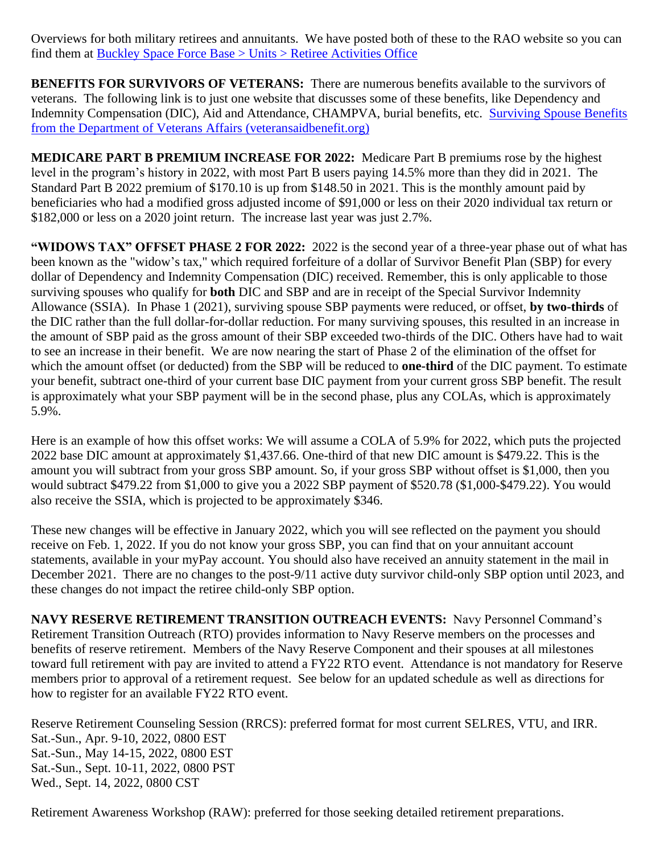Overviews for both military retirees and annuitants. We have posted both of these to the RAO website so you can find them at [Buckley Space Force Base > Units > Retiree Activities Office](https://www.buckley.spaceforce.mil/Units/Retiree-Activities-Office/)

**BENEFITS FOR SURVIVORS OF VETERANS:** There are numerous benefits available to the survivors of veterans. The following link is to just one website that discusses some of these benefits, like Dependency and Indemnity Compensation (DIC), Aid and Attendance, CHAMPVA, burial benefits, etc. [Surviving Spouse Benefits](https://www.veteransaidbenefit.org/va_help_surviving_spouse.htm)  [from the Department of Veterans Affairs \(veteransaidbenefit.org\)](https://www.veteransaidbenefit.org/va_help_surviving_spouse.htm)

**MEDICARE PART B PREMIUM INCREASE FOR 2022:** Medicare Part B premiums rose by the highest level in the program's history in 2022, with most Part B users paying 14.5% more than they did in 2021. The Standard Part B 2022 premium of \$170.10 is up from \$148.50 in 2021. This is the monthly amount paid by beneficiaries who had a modified gross adjusted income of \$91,000 or less on their 2020 individual tax return or \$182,000 or less on a 2020 joint return. The increase last year was just 2.7%.

**"WIDOWS TAX" OFFSET PHASE 2 FOR 2022:** 2022 is the second year of a three-year phase out of what has been known as the "widow's tax," which required forfeiture of a dollar of Survivor Benefit Plan (SBP) for every dollar of Dependency and Indemnity Compensation (DIC) received. Remember, this is only applicable to those surviving spouses who qualify for **both** DIC and SBP and are in receipt of the Special Survivor Indemnity Allowance (SSIA). In Phase 1 (2021), surviving spouse SBP payments were reduced, or offset, **by two-thirds** of the DIC rather than the full dollar-for-dollar reduction. For many surviving spouses, this resulted in an increase in the amount of SBP paid as the gross amount of their SBP exceeded two-thirds of the DIC. Others have had to wait to see an increase in their benefit. We are now nearing the start of Phase 2 of the elimination of the offset for which the amount offset (or deducted) from the SBP will be reduced to **one-third** of the DIC payment. To estimate your benefit, subtract one-third of your current base DIC payment from your current gross SBP benefit. The result is approximately what your SBP payment will be in the second phase, plus any COLAs, which is approximately 5.9%.

Here is an example of how this offset works: We will assume a COLA of 5.9% for 2022, which puts the projected 2022 base DIC amount at approximately \$1,437.66. One-third of that new DIC amount is \$479.22. This is the amount you will subtract from your gross SBP amount. So, if your gross SBP without offset is \$1,000, then you would subtract \$479.22 from \$1,000 to give you a 2022 SBP payment of \$520.78 (\$1,000-\$479.22). You would also receive the SSIA, which is projected to be approximately \$346.

These new changes will be effective in January 2022, which you will see reflected on the payment you should receive on Feb. 1, 2022. If you do not know your gross SBP, you can find that on your annuitant account statements, available in your myPay account. You should also have received an annuity statement in the mail in December 2021. There are no changes to the post-9/11 active duty survivor child-only SBP option until 2023, and these changes do not impact the retiree child-only SBP option.

**NAVY RESERVE RETIREMENT TRANSITION OUTREACH EVENTS:** Navy Personnel Command's Retirement Transition Outreach (RTO) provides information to Navy Reserve members on the processes and benefits of reserve retirement. Members of the Navy Reserve Component and their spouses at all milestones toward full retirement with pay are invited to attend a FY22 RTO event. Attendance is not mandatory for Reserve members prior to approval of a retirement request. See below for an updated schedule as well as directions for how to register for an available FY22 RTO event.

Reserve Retirement Counseling Session (RRCS): preferred format for most current SELRES, VTU, and IRR. Sat.-Sun., Apr. 9-10, 2022, 0800 EST Sat.-Sun., May 14-15, 2022, 0800 EST Sat.-Sun., Sept. 10-11, 2022, 0800 PST Wed., Sept. 14, 2022, 0800 CST

Retirement Awareness Workshop (RAW): preferred for those seeking detailed retirement preparations.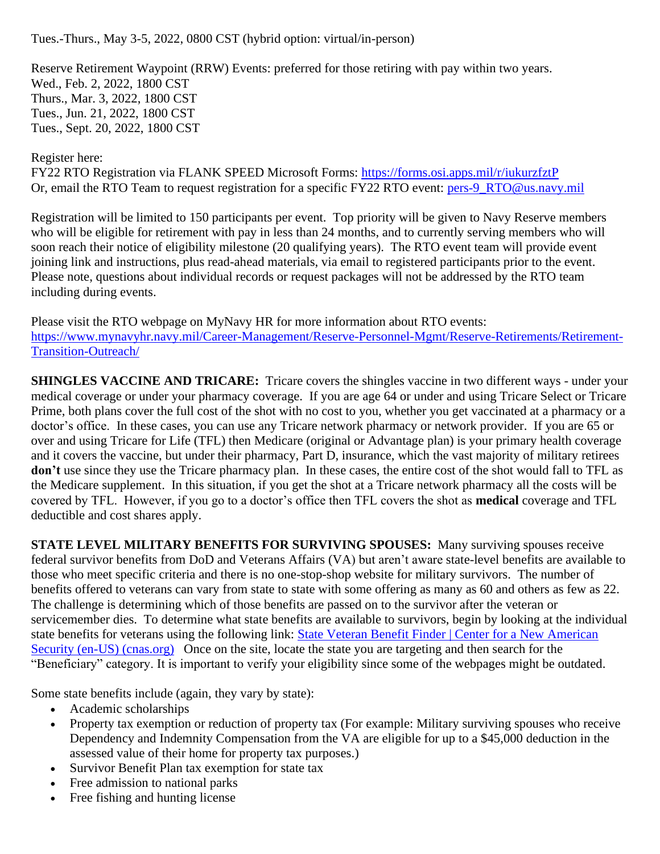Tues.-Thurs., May 3-5, 2022, 0800 CST (hybrid option: virtual/in-person)

Reserve Retirement Waypoint (RRW) Events: preferred for those retiring with pay within two years. Wed., Feb. 2, 2022, 1800 CST Thurs., Mar. 3, 2022, 1800 CST Tues., Jun. 21, 2022, 1800 CST Tues., Sept. 20, 2022, 1800 CST

## Register here:

FY22 RTO Registration via FLANK SPEED Microsoft Forms:<https://forms.osi.apps.mil/r/iukurzfztP> Or, email the RTO Team to request registration for a specific FY22 RTO event: [pers-9\\_RTO@us.navy.mil](mailto:pers-9_RTO@us.navy.mil)

Registration will be limited to 150 participants per event. Top priority will be given to Navy Reserve members who will be eligible for retirement with pay in less than 24 months, and to currently serving members who will soon reach their notice of eligibility milestone (20 qualifying years). The RTO event team will provide event joining link and instructions, plus read-ahead materials, via email to registered participants prior to the event. Please note, questions about individual records or request packages will not be addressed by the RTO team including during events.

Please visit the RTO webpage on MyNavy HR for more information about RTO events: [https://www.mynavyhr.navy.mil/Career-Management/Reserve-Personnel-Mgmt/Reserve-Retirements/Retirement-](https://www.mynavyhr.navy.mil/Career-Management/Reserve-Personnel-Mgmt/Reserve-Retirements/Retirement-Transition-Outreach/)[Transition-Outreach/](https://www.mynavyhr.navy.mil/Career-Management/Reserve-Personnel-Mgmt/Reserve-Retirements/Retirement-Transition-Outreach/)

**SHINGLES VACCINE AND TRICARE:** Tricare covers the shingles vaccine in two different ways - under your medical coverage or under your pharmacy coverage. If you are age 64 or under and using Tricare Select or Tricare Prime, both plans cover the full cost of the shot with no cost to you, whether you get vaccinated at a pharmacy or a doctor's office. In these cases, you can use any Tricare network pharmacy or network provider. If you are 65 or over and using Tricare for Life (TFL) then Medicare (original or Advantage plan) is your primary health coverage and it covers the vaccine, but under their pharmacy, Part D, insurance, which the vast majority of military retirees **don't** use since they use the Tricare pharmacy plan. In these cases, the entire cost of the shot would fall to TFL as the Medicare supplement. In this situation, if you get the shot at a Tricare network pharmacy all the costs will be covered by TFL. However, if you go to a doctor's office then TFL covers the shot as **medical** coverage and TFL deductible and cost shares apply.

**STATE LEVEL MILITARY BENEFITS FOR SURVIVING SPOUSES:** Many surviving spouses receive federal survivor benefits from DoD and Veterans Affairs (VA) but aren't aware state-level benefits are available to those who meet specific criteria and there is no one-stop-shop website for military survivors. The number of benefits offered to veterans can vary from state to state with some offering as many as 60 and others as few as 22. The challenge is determining which of those benefits are passed on to the survivor after the veteran or servicemember dies. To determine what state benefits are available to survivors, begin by looking at the individual state benefits for veterans using the following link: [State Veteran Benefit Finder | Center for a New American](https://www.cnas.org/publications/reports/state-veteran-benefit-finder)  [Security \(en-US\) \(cnas.org\)](https://www.cnas.org/publications/reports/state-veteran-benefit-finder) Once on the site, locate the state you are targeting and then search for the "Beneficiary" category. It is important to verify your eligibility since some of the webpages might be outdated.

Some state benefits include (again, they vary by state):

- Academic scholarships
- Property tax exemption or reduction of property tax (For example: Military surviving spouses who receive Dependency and Indemnity Compensation from the VA are eligible for up to a \$45,000 deduction in the assessed value of their home for property tax purposes.)
- Survivor Benefit Plan tax exemption for state tax
- Free admission to national parks
- Free fishing and hunting license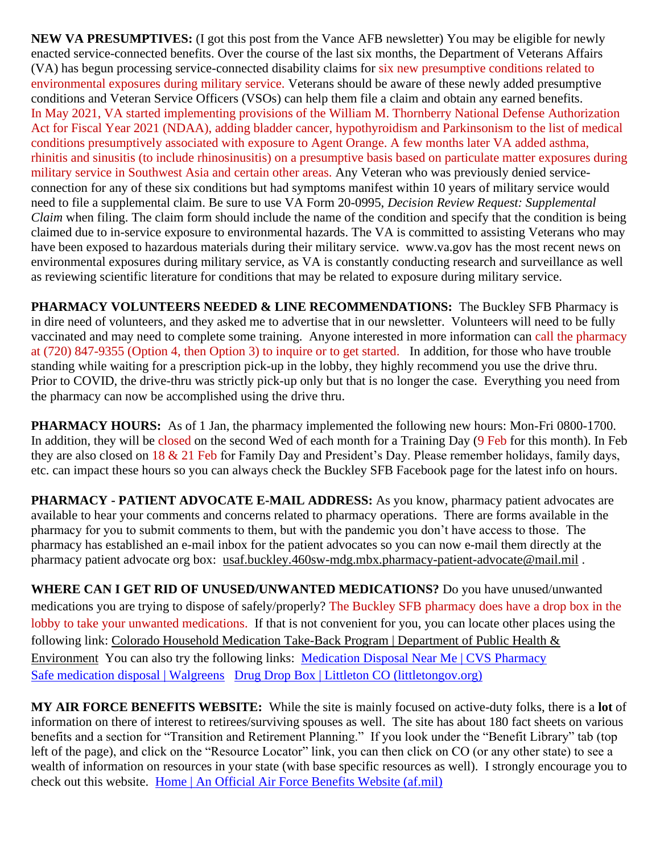**NEW VA PRESUMPTIVES:** (I got this post from the Vance AFB newsletter) You may be eligible for newly enacted service-connected benefits. Over the course of the last six months, the Department of Veterans Affairs (VA) has begun processing service-connected disability claims for six new presumptive conditions related to environmental exposures during military service. Veterans should be aware of these newly added presumptive conditions and Veteran Service Officers (VSOs) can help them file a claim and obtain any earned benefits. In May 2021, VA started implementing provisions of the William M. Thornberry National Defense Authorization Act for Fiscal Year 2021 (NDAA), adding bladder cancer, hypothyroidism and Parkinsonism to the list of medical conditions presumptively associated with exposure to Agent Orange. A few months later VA added asthma, rhinitis and sinusitis (to include rhinosinusitis) on a presumptive basis based on particulate matter exposures during military service in Southwest Asia and certain other areas. Any Veteran who was previously denied serviceconnection for any of these six conditions but had symptoms manifest within 10 years of military service would need to file a supplemental claim. Be sure to use VA Form 20-0995, *Decision Review Request: Supplemental Claim* when filing. The claim form should include the name of the condition and specify that the condition is being claimed due to in-service exposure to environmental hazards. The VA is committed to assisting Veterans who may have been exposed to hazardous materials during their military service. www.va.gov has the most recent news on environmental exposures during military service, as VA is constantly conducting research and surveillance as well as reviewing scientific literature for conditions that may be related to exposure during military service.

**PHARMACY VOLUNTEERS NEEDED & LINE RECOMMENDATIONS:** The Buckley SFB Pharmacy is in dire need of volunteers, and they asked me to advertise that in our newsletter. Volunteers will need to be fully vaccinated and may need to complete some training. Anyone interested in more information can call the pharmacy at (720) 847-9355 (Option 4, then Option 3) to inquire or to get started. In addition, for those who have trouble standing while waiting for a prescription pick-up in the lobby, they highly recommend you use the drive thru. Prior to COVID, the drive-thru was strictly pick-up only but that is no longer the case. Everything you need from the pharmacy can now be accomplished using the drive thru.

**PHARMACY HOURS:** As of 1 Jan, the pharmacy implemented the following new hours: Mon-Fri 0800-1700. In addition, they will be closed on the second Wed of each month for a Training Day (9 Feb for this month). In Feb they are also closed on 18 & 21 Feb for Family Day and President's Day. Please remember holidays, family days, etc. can impact these hours so you can always check the Buckley SFB Facebook page for the latest info on hours.

**PHARMACY - PATIENT ADVOCATE E-MAIL ADDRESS:** As you know, pharmacy patient advocates are available to hear your comments and concerns related to pharmacy operations. There are forms available in the pharmacy for you to submit comments to them, but with the pandemic you don't have access to those. The pharmacy has established an e-mail inbox for the patient advocates so you can now e-mail them directly at the pharmacy patient advocate org box: [usaf.buckley.460sw-mdg.mbx.pharmacy-patient-advocate@mail.mil](mailto:usaf.buckley.460sw-mdg.mbx.pharmacy-patient-advocate@mail.mil) .

**WHERE CAN I GET RID OF UNUSED/UNWANTED MEDICATIONS?** Do you have unused/unwanted medications you are trying to dispose of safely/properly? The Buckley SFB pharmacy does have a drop box in the lobby to take your unwanted medications. If that is not convenient for you, you can locate other places using the following link: [Colorado Household Medication Take-Back Program | Department of Public Health &](https://cdphe.colorado.gov/colorado-medication-take-back-program)  [Environment](https://cdphe.colorado.gov/colorado-medication-take-back-program) You can also try the following links: [Medication Disposal Near Me | CVS Pharmacy](https://www.cvs.com/content/safer-communities-locate) [Safe medication disposal | Walgreens](https://www.walgreens.com/topic/pharmacy/safe-medication-disposal.jsp) [Drug Drop Box | Littleton CO \(littletongov.org\)](https://www.littletongov.org/city-services/city-departments/police-department/programs-services/drug-drop-box)

**MY AIR FORCE BENEFITS WEBSITE:** While the site is mainly focused on active-duty folks, there is a **lot** of information on there of interest to retirees/surviving spouses as well. The site has about 180 fact sheets on various benefits and a section for "Transition and Retirement Planning." If you look under the "Benefit Library" tab (top left of the page), and click on the "Resource Locator" link, you can then click on CO (or any other state) to see a wealth of information on resources in your state (with base specific resources as well). I strongly encourage you to check out this website. [Home | An Official Air Force Benefits Website \(af.mil\)](https://www.myairforcebenefits.us.af.mil/)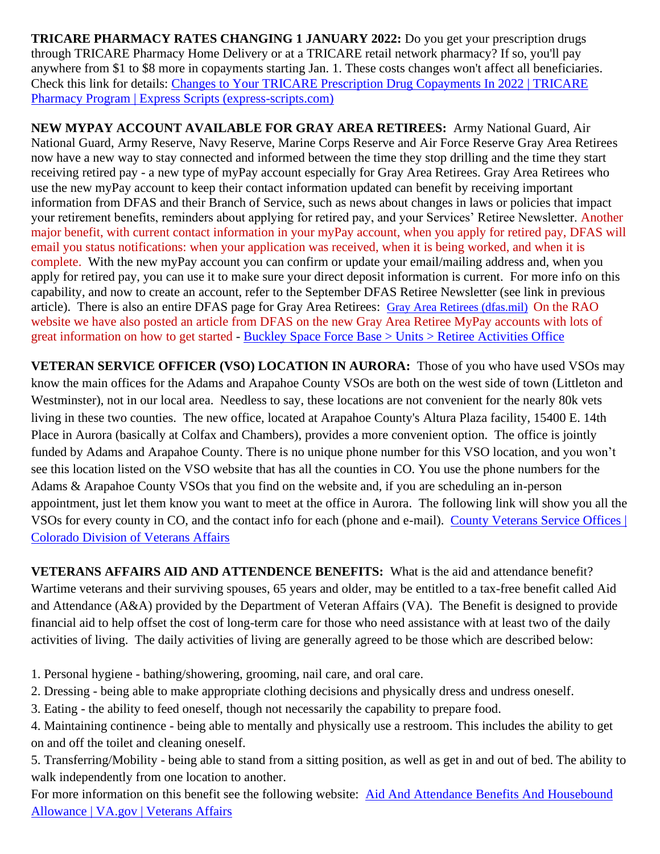**TRICARE PHARMACY RATES CHANGING 1 JANUARY 2022:** Do you get your prescription drugs through TRICARE Pharmacy Home Delivery or at a TRICARE retail network pharmacy? If so, you'll pay anywhere from \$1 to \$8 more in copayments starting Jan. 1. These costs changes won't affect all beneficiaries. Check this link for details: [Changes to Your TRICARE Prescription Drug Copayments In 2022 | TRICARE](https://militaryrx.express-scripts.com/news/changes-your-tricare-prescription-drug-copayments-2022-0?CID=eml:DoD:2021_DoD_Copay_Chng_F1:::10898&om_mid=10898&om_rid=535604479)  [Pharmacy Program | Express Scripts \(express-scripts.com\)](https://militaryrx.express-scripts.com/news/changes-your-tricare-prescription-drug-copayments-2022-0?CID=eml:DoD:2021_DoD_Copay_Chng_F1:::10898&om_mid=10898&om_rid=535604479)

**NEW MYPAY ACCOUNT AVAILABLE FOR GRAY AREA RETIREES:** Army National Guard, Air National Guard, Army Reserve, Navy Reserve, Marine Corps Reserve and Air Force Reserve Gray Area Retirees now have a new way to stay connected and informed between the time they stop drilling and the time they start receiving retired pay - a new type of myPay account especially for Gray Area Retirees. Gray Area Retirees who use the new myPay account to keep their contact information updated can benefit by receiving important information from DFAS and their Branch of Service, such as news about changes in laws or policies that impact your retirement benefits, reminders about applying for retired pay, and your Services' Retiree Newsletter. Another major benefit, with current contact information in your myPay account, when you apply for retired pay, DFAS will email you status notifications: when your application was received, when it is being worked, and when it is complete. With the new myPay account you can confirm or update your email/mailing address and, when you apply for retired pay, you can use it to make sure your direct deposit information is current. For more info on this capability, and now to create an account, refer to the September DFAS Retiree Newsletter (see link in previous article). There is also an entire DFAS page for Gray Area Retirees: [Gray Area Retirees \(dfas.mil\)](https://www.dfas.mil/RetiredMilitary/plan/Gray-Area-Retirees/) On the RAO website we have also posted an article from DFAS on the new Gray Area Retiree MyPay accounts with lots of great information on how to get started - [Buckley Space Force Base > Units > Retiree Activities Office](https://www.buckley.spaceforce.mil/Units/Retiree-Activities-Office/)

**VETERAN SERVICE OFFICER (VSO) LOCATION IN AURORA:** Those of you who have used VSOs may know the main offices for the Adams and Arapahoe County VSOs are both on the west side of town (Littleton and Westminster), not in our local area. Needless to say, these locations are not convenient for the nearly 80k vets living in these two counties. The new office, located at Arapahoe County's Altura Plaza facility, 15400 E. 14th Place in Aurora (basically at Colfax and Chambers), provides a more convenient option. The office is jointly funded by Adams and Arapahoe County. There is no unique phone number for this VSO location, and you won't see this location listed on the VSO website that has all the counties in CO. You use the phone numbers for the Adams & Arapahoe County VSOs that you find on the website and, if you are scheduling an in-person appointment, just let them know you want to meet at the office in Aurora. The following link will show you all the VSOs for every county in CO, and the contact info for each (phone and e-mail). [County Veterans Service Offices |](https://vets.colorado.gov/services/county-veterans-service-offices)  [Colorado Division of Veterans Affairs](https://vets.colorado.gov/services/county-veterans-service-offices)

**VETERANS AFFAIRS AID AND ATTENDENCE BENEFITS:** What is the aid and attendance benefit? Wartime veterans and their surviving spouses, 65 years and older, may be entitled to a tax-free benefit called Aid and Attendance (A&A) provided by the Department of Veteran Affairs (VA). The Benefit is designed to provide financial aid to help offset the cost of long-term care for those who need assistance with at least two of the daily activities of living. The daily activities of living are generally agreed to be those which are described below:

- 1. Personal hygiene bathing/showering, grooming, nail care, and oral care.
- 2. Dressing being able to make appropriate clothing decisions and physically dress and undress oneself.
- 3. Eating the ability to feed oneself, though not necessarily the capability to prepare food.

4. Maintaining continence - being able to mentally and physically use a restroom. This includes the ability to get on and off the toilet and cleaning oneself.

5. Transferring/Mobility - being able to stand from a sitting position, as well as get in and out of bed. The ability to walk independently from one location to another.

For more information on this benefit see the following website: Aid And [Attendance Benefits And Housebound](https://www.va.gov/pension/aid-attendance-housebound/)  [Allowance | VA.gov | Veterans Affairs](https://www.va.gov/pension/aid-attendance-housebound/)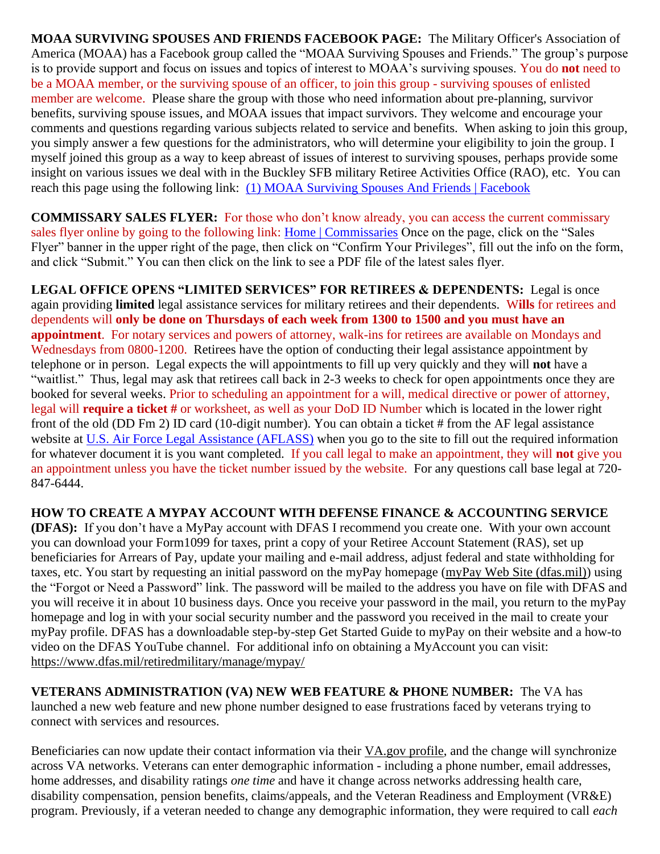**MOAA SURVIVING SPOUSES AND FRIENDS FACEBOOK PAGE:** The Military Officer's Association of America (MOAA) has a Facebook group called the "MOAA Surviving Spouses and Friends." The group's purpose is to provide support and focus on issues and topics of interest to MOAA's surviving spouses. You do **not** need to be a MOAA member, or the surviving spouse of an officer, to join this group - surviving spouses of enlisted member are welcome. Please share the group with those who need information about pre-planning, survivor benefits, surviving spouse issues, and MOAA issues that impact survivors. They welcome and encourage your comments and questions regarding various subjects related to service and benefits. When asking to join this group, you simply answer a few questions for the administrators, who will determine your eligibility to join the group. I myself joined this group as a way to keep abreast of issues of interest to surviving spouses, perhaps provide some insight on various issues we deal with in the Buckley SFB military Retiree Activities Office (RAO), etc. You can reach this page using the following link: [\(1\) MOAA Surviving Spouses And Friends | Facebook](https://www.facebook.com/groups/581427115240904)

**COMMISSARY SALES FLYER:** For those who don't know already, you can access the current commissary sales flyer online by going to the following link: [Home | Commissaries](https://www.commissaries.com/) Once on the page, click on the "Sales" Flyer" banner in the upper right of the page, then click on "Confirm Your Privileges", fill out the info on the form, and click "Submit." You can then click on the link to see a PDF file of the latest sales flyer.

**LEGAL OFFICE OPENS "LIMITED SERVICES" FOR RETIREES & DEPENDENTS:** Legal is once again providing **limited** legal assistance services for military retirees and their dependents. W**ills** for retirees and dependents will **only be done on Thursdays of each week from 1300 to 1500 and you must have an appointment**. For notary services and powers of attorney, walk-ins for retirees are available on Mondays and Wednesdays from 0800-1200. Retirees have the option of conducting their legal assistance appointment by telephone or in person. Legal expects the will appointments to fill up very quickly and they will **not** have a "waitlist." Thus, legal may ask that retirees call back in 2-3 weeks to check for open appointments once they are booked for several weeks. Prior to scheduling an appointment for a will, medical directive or power of attorney, legal will **require a ticket #** or worksheet, as well as your DoD ID Number which is located in the lower right front of the old (DD Fm 2) ID card (10-digit number). You can obtain a ticket # from the AF legal assistance website at [U.S. Air Force Legal Assistance \(AFLASS\)](https://aflegalassistance.law.af.mil/lass/lass.html) when you go to the site to fill out the required information for whatever document it is you want completed. If you call legal to make an appointment, they will **not** give you an appointment unless you have the ticket number issued by the website. For any questions call base legal at 720- 847-6444.

## **HOW TO CREATE A MYPAY ACCOUNT WITH DEFENSE FINANCE & ACCOUNTING SERVICE**

**(DFAS):** If you don't have a MyPay account with DFAS I recommend you create one. With your own account you can download your Form1099 for taxes, print a copy of your Retiree Account Statement (RAS), set up beneficiaries for Arrears of Pay, update your mailing and e-mail address, adjust federal and state withholding for taxes, etc. You start by requesting an initial password on the myPay homepage [\(myPay Web Site \(dfas.mil\)\)](https://mypay.dfas.mil/#/) using the "Forgot or Need a Password" link. The password will be mailed to the address you have on file with DFAS and you will receive it in about 10 business days. Once you receive your password in the mail, you return to the myPay homepage and log in with your social security number and the password you received in the mail to create your myPay profile. DFAS has a downloadable step-by-step Get Started Guide to myPay on their website and a how-to video on the DFAS YouTube channel. For additional info on obtaining a MyAccount you can visit: <https://www.dfas.mil/retiredmilitary/manage/mypay/>

**VETERANS ADMINISTRATION (VA) NEW WEB FEATURE & PHONE NUMBER:** The VA has launched a new web feature and new phone number designed to ease frustrations faced by veterans trying to connect with services and resources.

Beneficiaries can now update their contact information via their [VA.gov](https://www.va.gov/change-address/) profile, and the change will synchronize across VA networks. Veterans can enter demographic information - including a phone number, email addresses, home addresses, and disability ratings *one time* and have it change across networks addressing health care, disability compensation, pension benefits, claims/appeals, and the Veteran Readiness and Employment (VR&E) program. Previously, if a veteran needed to change any demographic information, they were required to call *each*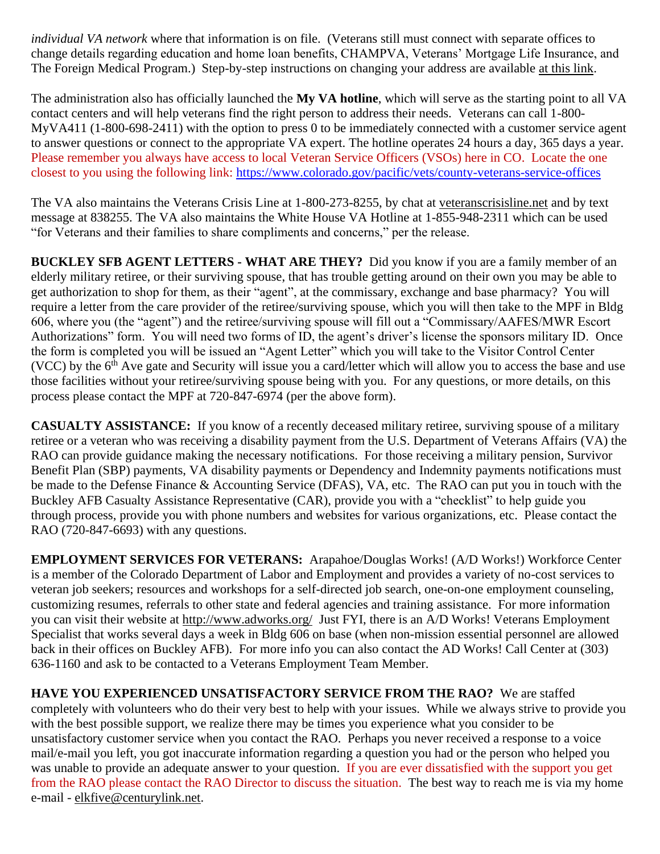*individual VA network* where that information is on file. (Veterans still must connect with separate offices to change details regarding education and home loan benefits, CHAMPVA, Veterans' Mortgage Life Insurance, and The Foreign Medical Program.) Step-by-step instructions on changing your address are available at this [link.](https://www.va.gov/change-address/)

The administration also has officially launched the **My VA hotline**, which will serve as the starting point to all VA contact centers and will help veterans find the right person to address their needs. Veterans can call 1-800- MyVA411 (1-800-698-2411) with the option to press 0 to be immediately connected with a customer service agent to answer questions or connect to the appropriate VA expert. The hotline operates 24 hours a day, 365 days a year. Please remember you always have access to local Veteran Service Officers (VSOs) here in CO. Locate the one closest to you using the following link:<https://www.colorado.gov/pacific/vets/county-veterans-service-offices>

The VA also maintains the Veterans Crisis Line at 1-800-273-8255, by chat at [veteranscrisisline.net](https://www.va.gov/opa/pressrel/pressrelease.cfm?id=5588) and by text message at 838255. The VA also maintains the White House VA Hotline at 1-855-948-2311 which can be used "for Veterans and their families to share compliments and concerns," per the release.

**BUCKLEY SFB AGENT LETTERS - WHAT ARE THEY?** Did you know if you are a family member of an elderly military retiree, or their surviving spouse, that has trouble getting around on their own you may be able to get authorization to shop for them, as their "agent", at the commissary, exchange and base pharmacy? You will require a letter from the care provider of the retiree/surviving spouse, which you will then take to the MPF in Bldg 606, where you (the "agent") and the retiree/surviving spouse will fill out a "Commissary/AAFES/MWR Escort Authorizations" form. You will need two forms of ID, the agent's driver's license the sponsors military ID. Once the form is completed you will be issued an "Agent Letter" which you will take to the Visitor Control Center (VCC) by the  $6<sup>th</sup>$  Ave gate and Security will issue you a card/letter which will allow you to access the base and use those facilities without your retiree/surviving spouse being with you. For any questions, or more details, on this process please contact the MPF at 720-847-6974 (per the above form).

**CASUALTY ASSISTANCE:** If you know of a recently deceased military retiree, surviving spouse of a military retiree or a veteran who was receiving a disability payment from the U.S. Department of Veterans Affairs (VA) the RAO can provide guidance making the necessary notifications. For those receiving a military pension, Survivor Benefit Plan (SBP) payments, VA disability payments or Dependency and Indemnity payments notifications must be made to the Defense Finance & Accounting Service (DFAS), VA, etc. The RAO can put you in touch with the Buckley AFB Casualty Assistance Representative (CAR), provide you with a "checklist" to help guide you through process, provide you with phone numbers and websites for various organizations, etc. Please contact the RAO (720-847-6693) with any questions.

**EMPLOYMENT SERVICES FOR VETERANS:** Arapahoe/Douglas Works! (A/D Works!) Workforce Center is a member of the Colorado Department of Labor and Employment and provides a variety of no-cost services to veteran job seekers; resources and workshops for a self-directed job search, one-on-one employment counseling, customizing resumes, referrals to other state and federal agencies and training assistance. For more information you can visit their website at<http://www.adworks.org/>Just FYI, there is an A/D Works! Veterans Employment Specialist that works several days a week in Bldg 606 on base (when non-mission essential personnel are allowed back in their offices on Buckley AFB). For more info you can also contact the AD Works! Call Center at (303) 636-1160 and ask to be contacted to a Veterans Employment Team Member.

**HAVE YOU EXPERIENCED UNSATISFACTORY SERVICE FROM THE RAO?** We are staffed completely with volunteers who do their very best to help with your issues. While we always strive to provide you with the best possible support, we realize there may be times you experience what you consider to be unsatisfactory customer service when you contact the RAO. Perhaps you never received a response to a voice mail/e-mail you left, you got inaccurate information regarding a question you had or the person who helped you was unable to provide an adequate answer to your question. If you are ever dissatisfied with the support you get from the RAO please contact the RAO Director to discuss the situation. The best way to reach me is via my home e-mail - [elkfive@centurylink.net.](mailto:elkfive@centurylink.net)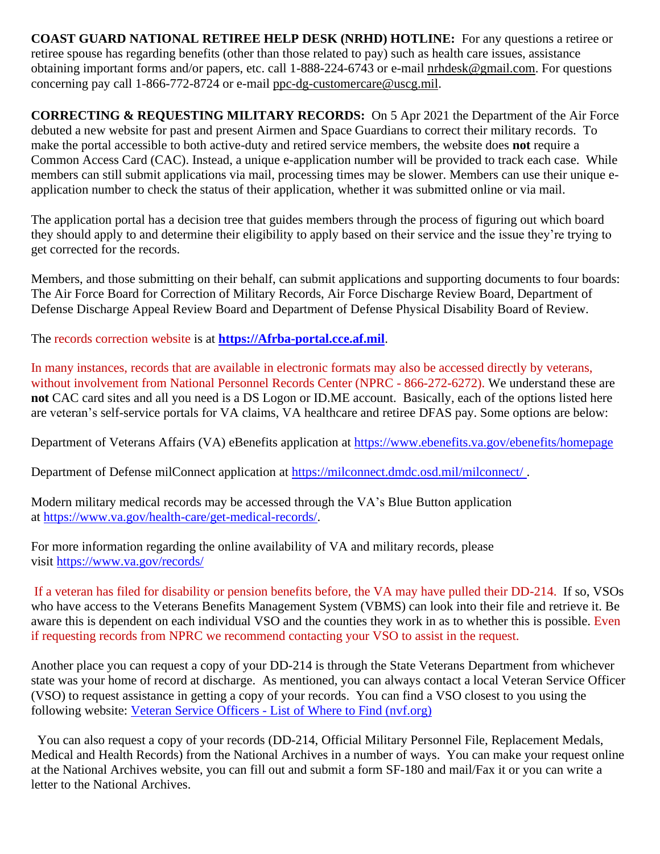**COAST GUARD NATIONAL RETIREE HELP DESK (NRHD) HOTLINE:** For any questions a retiree or retiree spouse has regarding benefits (other than those related to pay) such as health care issues, assistance obtaining important forms and/or papers, etc. call 1-888-224-6743 or e-mail [nrhdesk@gmail.com.](mailto:nrhdesk@gmail.com) For questions concerning pay call 1-866-772-8724 or e-mail [ppc-dg-customercare@uscg.mil.](mailto:ppc-dg-customercare@uscg.mil)

**CORRECTING & REQUESTING MILITARY RECORDS:** On 5 Apr 2021 the Department of the Air Force debuted a new website for past and present Airmen and Space Guardians to correct their military records. To make the portal accessible to both active-duty and retired service members, the website does **not** require a Common Access Card (CAC). Instead, a unique e-application number will be provided to track each case. While members can still submit applications via mail, processing times may be slower. Members can use their unique eapplication number to check the status of their application, whether it was submitted online or via mail.

The application portal has a decision tree that guides members through the process of figuring out which board they should apply to and determine their eligibility to apply based on their service and the issue they're trying to get corrected for the records.

Members, and those submitting on their behalf, can submit applications and supporting documents to four boards: The Air Force Board for Correction of Military Records, Air Force Discharge Review Board, Department of Defense Discharge Appeal Review Board and Department of Defense Physical Disability Board of Review.

The records correction website is at **[https://Afrba-portal.cce.af.mil](https://afrba-portal.cce.af.mil/)**.

In many instances, records that are available in electronic formats may also be accessed directly by veterans, without involvement from National Personnel Records Center (NPRC - 866-272-6272). We understand these are **not** CAC card sites and all you need is a DS Logon or ID.ME account. Basically, each of the options listed here are veteran's self-service portals for VA claims, VA healthcare and retiree DFAS pay. Some options are below:

Department of Veterans Affairs (VA) eBenefits application at [https://www.ebenefits.va.gov/ebenefits/homepage](https://gcc02.safelinks.protection.outlook.com/?url=https%3A%2F%2Fwww.ebenefits.va.gov%2Febenefits%2Fhomepage&data=04%7C01%7CJMedina%40arapahoegov.com%7C4ba6a9bb0f614d20689d08d8f4881a52%7C57d7b626d71d47f684c1c43bda19ba16%7C1%7C0%7C637528212705904594%7CUnknown%7CTWFpbGZsb3d8eyJWIjoiMC4wLjAwMDAiLCJQIjoiV2luMzIiLCJBTiI6Ik1haWwiLCJXVCI6Mn0%3D%7C1000&sdata=hXw9dmDwVyyfMT6CLAKjNC7ErxQaRPjSNwpBd6NAZQE%3D&reserved=0)

Department of Defense milConnect application at [https://milconnect.dmdc.osd.mil/milconnect/](https://gcc02.safelinks.protection.outlook.com/?url=https%3A%2F%2Fmilconnect.dmdc.osd.mil%2Fmilconnect%2F&data=04%7C01%7CJMedina%40arapahoegov.com%7C4ba6a9bb0f614d20689d08d8f4881a52%7C57d7b626d71d47f684c1c43bda19ba16%7C1%7C0%7C637528212705914549%7CUnknown%7CTWFpbGZsb3d8eyJWIjoiMC4wLjAwMDAiLCJQIjoiV2luMzIiLCJBTiI6Ik1haWwiLCJXVCI6Mn0%3D%7C1000&sdata=Eov1Utj64StS5R1dMb%2F4BZh07Y6ue08qLBwOJlppgzs%3D&reserved=0) .

Modern military medical records may be accessed through the VA's Blue Button application at [https://www.va.gov/health-care/get-medical-records/.](https://gcc02.safelinks.protection.outlook.com/?url=https%3A%2F%2Fwww.va.gov%2Fhealth-care%2Fget-medical-records%2F&data=04%7C01%7CJMedina%40arapahoegov.com%7C4ba6a9bb0f614d20689d08d8f4881a52%7C57d7b626d71d47f684c1c43bda19ba16%7C1%7C0%7C637528212705914549%7CUnknown%7CTWFpbGZsb3d8eyJWIjoiMC4wLjAwMDAiLCJQIjoiV2luMzIiLCJBTiI6Ik1haWwiLCJXVCI6Mn0%3D%7C1000&sdata=ZscT%2FLEpaJZRPKyOrDzvuwAjP4QuxW2MrNoew0X87%2BU%3D&reserved=0)

For more information regarding the online availability of VA and military records, please visit [https://www.va.gov/records/](https://gcc02.safelinks.protection.outlook.com/?url=https%3A%2F%2Fwww.va.gov%2Frecords%2F&data=04%7C01%7CJMedina%40arapahoegov.com%7C4ba6a9bb0f614d20689d08d8f4881a52%7C57d7b626d71d47f684c1c43bda19ba16%7C1%7C0%7C637528212705914549%7CUnknown%7CTWFpbGZsb3d8eyJWIjoiMC4wLjAwMDAiLCJQIjoiV2luMzIiLCJBTiI6Ik1haWwiLCJXVCI6Mn0%3D%7C1000&sdata=T26BlYnzbcJfnkz0lJD8hvNO988S%2BhMVRIXbJfmmpbA%3D&reserved=0)

If a veteran has filed for disability or pension benefits before, the VA may have pulled their DD-214. If so, VSOs who have access to the Veterans Benefits Management System (VBMS) can look into their file and retrieve it. Be aware this is dependent on each individual VSO and the counties they work in as to whether this is possible. Even if requesting records from NPRC we recommend contacting your VSO to assist in the request.

Another place you can request a copy of your DD-214 is through the State Veterans Department from whichever state was your home of record at discharge. As mentioned, you can always contact a local Veteran Service Officer (VSO) to request assistance in getting a copy of your records. You can find a VSO closest to you using the following website: Veteran Service Officers - List of Where to Find [\(nvf.org\)](https://nvf.org/veteran-service-officers/)

 You can also request a copy of your records (DD-214, Official Military Personnel File, Replacement Medals, Medical and Health Records) from the National Archives in a number of ways. You can make your request online at the National Archives website, you can fill out and submit a form SF-180 and mail/Fax it or you can write a letter to the National Archives.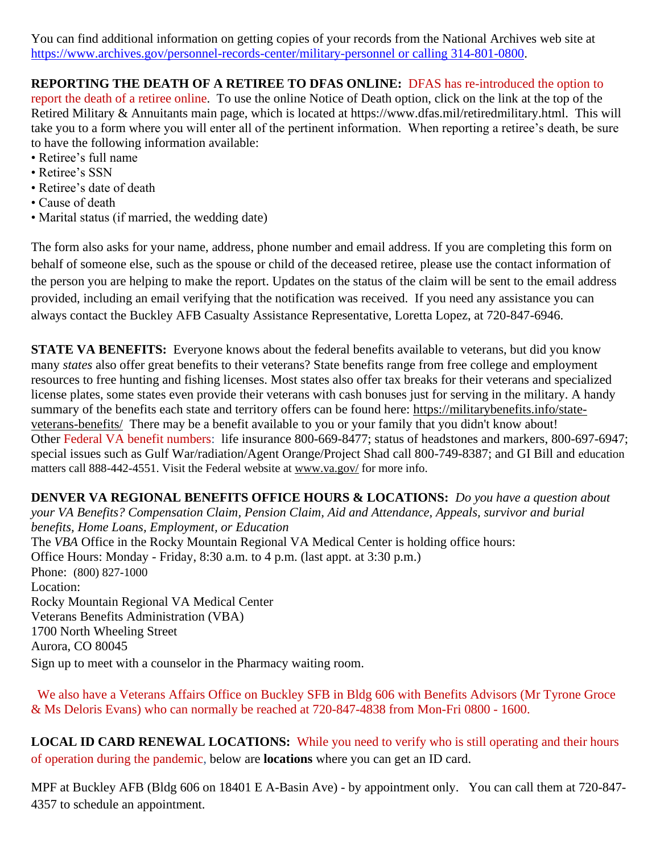You can find additional information on getting copies of your records from the National Archives web site at [https://www.archives.gov/personnel-records-center/military-personnel](https://www.archives.gov/personnel-records-center/military-personnel%20or%20calling%20314-801-0800) or calling 314-801-0800.

# **REPORTING THE DEATH OF A RETIREE TO DFAS ONLINE:** DFAS has re-introduced the option to

report the death of a retiree online. To use the online Notice of Death option, click on the link at the top of the Retired Military & Annuitants main page, which is located at https://www.dfas.mil/retiredmilitary.html. This will take you to a form where you will enter all of the pertinent information. When reporting a retiree's death, be sure to have the following information available:

- Retiree's full name
- Retiree's SSN
- Retiree's date of death
- Cause of death
- Marital status (if married, the wedding date)

The form also asks for your name, address, phone number and email address. If you are completing this form on behalf of someone else, such as the spouse or child of the deceased retiree, please use the contact information of the person you are helping to make the report. Updates on the status of the claim will be sent to the email address provided, including an email verifying that the notification was received. If you need any assistance you can always contact the Buckley AFB Casualty Assistance Representative, Loretta Lopez, at 720-847-6946.

**STATE VA BENEFITS:** Everyone knows about the federal benefits available to veterans, but did you know many *states* also offer great benefits to their veterans? State benefits range from free college and employment resources to free hunting and fishing licenses. Most states also offer tax breaks for their veterans and specialized license plates, some states even provide their veterans with cash bonuses just for serving in the military. A handy summary of the benefits each state and territory offers can be found here: [https://militarybenefits.info/state](https://militarybenefits.info/state-veterans-benefits/)[veterans-benefits/](https://militarybenefits.info/state-veterans-benefits/) There may be a benefit available to you or your family that you didn't know about! Other Federal VA benefit numbers: life insurance 800-669-8477; status of headstones and markers, 800-697-6947; special issues such as Gulf War/radiation/Agent Orange/Project Shad call 800-749-8387; and GI Bill and education matters call 888-442-4551. Visit the Federal website at [www.va.gov/](http://www.va.gov/) for more info.

**DENVER VA REGIONAL BENEFITS OFFICE HOURS & LOCATIONS:** *Do you have a question about your VA Benefits? Compensation Claim, Pension Claim, Aid and Attendance, Appeals, survivor and burial benefits, Home Loans, Employment, or Education*  The *VBA* Office in the Rocky Mountain Regional VA Medical Center is holding office hours: Office Hours: Monday - Friday, 8:30 a.m. to 4 p.m. (last appt. at 3:30 p.m.) Phone: [\(800\) 827-1000](https://www.google.com/search?source=hp&ei=1bIFXOnJLePk8APkxJfIDw&q=denver+va+regional+benefits+office+phone+number&oq=Denver+va+regional+benef&gs_l=psy-ab.1.1.0i22i30l4.1057.7073..9944...0.0..0.148.2902.2j23......0....1..gws-wiz.....0..0j0i131j0i10.2DXy9-Yewu0) Location: Rocky Mountain Regional VA Medical Center Veterans Benefits Administration (VBA) 1700 North Wheeling Street Aurora, CO 80045 Sign up to meet with a counselor in the Pharmacy waiting room.

 We also have a Veterans Affairs Office on Buckley SFB in Bldg 606 with Benefits Advisors (Mr Tyrone Groce & Ms Deloris Evans) who can normally be reached at 720-847-4838 from Mon-Fri 0800 - 1600.

**LOCAL ID CARD RENEWAL LOCATIONS:** While you need to verify who is still operating and their hours of operation during the pandemic, below are **locations** where you can get an ID card.

MPF at Buckley AFB (Bldg 606 on 18401 E A-Basin Ave) - by appointment only. You can call them at 720-847- 4357 to schedule an appointment.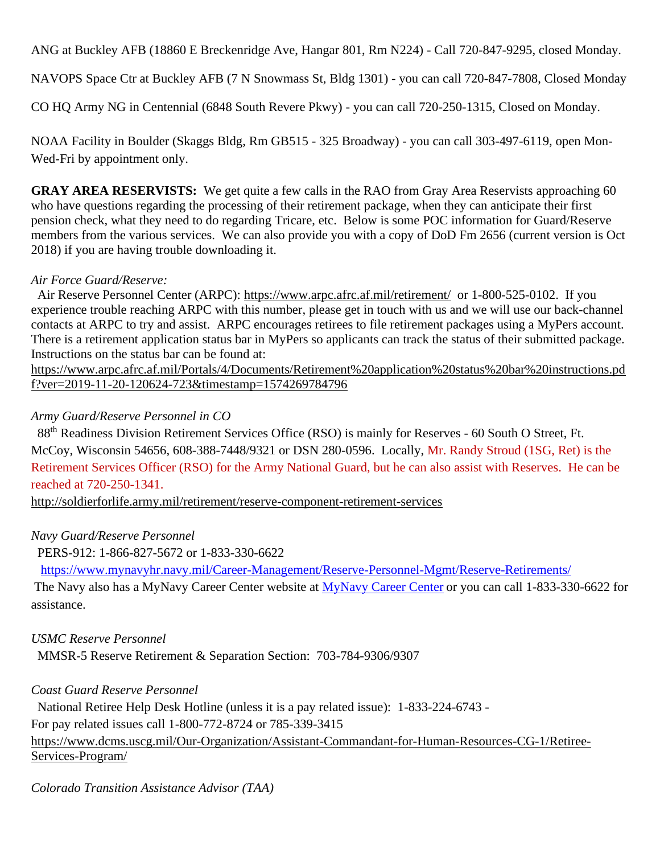ANG at Buckley AFB (18860 E Breckenridge Ave, Hangar 801, Rm N224) - Call 720-847-9295, closed Monday.

NAVOPS Space Ctr at Buckley AFB (7 N Snowmass St, Bldg 1301) - you can call 720-847-7808, Closed Monday

CO HQ Army NG in Centennial (6848 South Revere Pkwy) - you can call 720-250-1315, Closed on Monday.

NOAA Facility in Boulder (Skaggs Bldg, Rm GB515 - 325 Broadway) - you can call 303-497-6119, open Mon-Wed-Fri by appointment only.

**GRAY AREA RESERVISTS:** We get quite a few calls in the RAO from Gray Area Reservists approaching 60 who have questions regarding the processing of their retirement package, when they can anticipate their first pension check, what they need to do regarding Tricare, etc. Below is some POC information for Guard/Reserve members from the various services. We can also provide you with a copy of DoD Fm 2656 (current version is Oct 2018) if you are having trouble downloading it.

### *Air Force Guard/Reserve:*

 Air Reserve Personnel Center (ARPC): <https://www.arpc.afrc.af.mil/retirement/>or 1-800-525-0102. If you experience trouble reaching ARPC with this number, please get in touch with us and we will use our back-channel contacts at ARPC to try and assist. ARPC encourages retirees to file retirement packages using a MyPers account. There is a retirement application status bar in MyPers so applicants can track the status of their submitted package. Instructions on the status bar can be found at:

[https://www.arpc.afrc.af.mil/Portals/4/Documents/Retirement%20application%20status%20bar%20instructions.pd](https://www.arpc.afrc.af.mil/Portals/4/Documents/Retirement%20application%20status%20bar%20instructions.pdf?ver=2019-11-20-120624-723×tamp=1574269784796) [f?ver=2019-11-20-120624-723&timestamp=1574269784796](https://www.arpc.afrc.af.mil/Portals/4/Documents/Retirement%20application%20status%20bar%20instructions.pdf?ver=2019-11-20-120624-723×tamp=1574269784796)

# *Army Guard/Reserve Personnel in CO*

 88th Readiness Division Retirement Services Office (RSO) is mainly for Reserves - 60 South O Street, Ft. McCoy, Wisconsin 54656, 608-388-7448/9321 or DSN 280-0596. Locally, Mr. Randy Stroud (1SG, Ret) is the Retirement Services Officer (RSO) for the Army National Guard, but he can also assist with Reserves. He can be reached at 720-250-1341.

<http://soldierforlife.army.mil/retirement/reserve-component-retirement-services>

## *Navy Guard/Reserve Personnel*

PERS-912: 1-866-827-5672 or 1-833-330-6622

<https://www.mynavyhr.navy.mil/Career-Management/Reserve-Personnel-Mgmt/Reserve-Retirements/>

The Navy also has a MyNavy Career Center website at [MyNavy Career Center](https://www.mynavyhr.navy.mil/Support-Services/MyNavy-Career-Center/) or you can call 1-833-330-6622 for assistance.

## *USMC Reserve Personnel*

MMSR-5 Reserve Retirement & Separation Section: 703-784-9306/9307

## *Coast Guard Reserve Personnel*

 National Retiree Help Desk Hotline (unless it is a pay related issue): 1-833-224-6743 - For pay related issues call 1-800-772-8724 or 785-339-3415 [https://www.dcms.uscg.mil/Our-Organization/Assistant-Commandant-for-Human-Resources-CG-1/Retiree-](https://www.dcms.uscg.mil/Our-Organization/Assistant-Commandant-for-Human-Resources-CG-1/Retiree-Services-Program/)[Services-Program/](https://www.dcms.uscg.mil/Our-Organization/Assistant-Commandant-for-Human-Resources-CG-1/Retiree-Services-Program/)

*Colorado Transition Assistance Advisor (TAA)*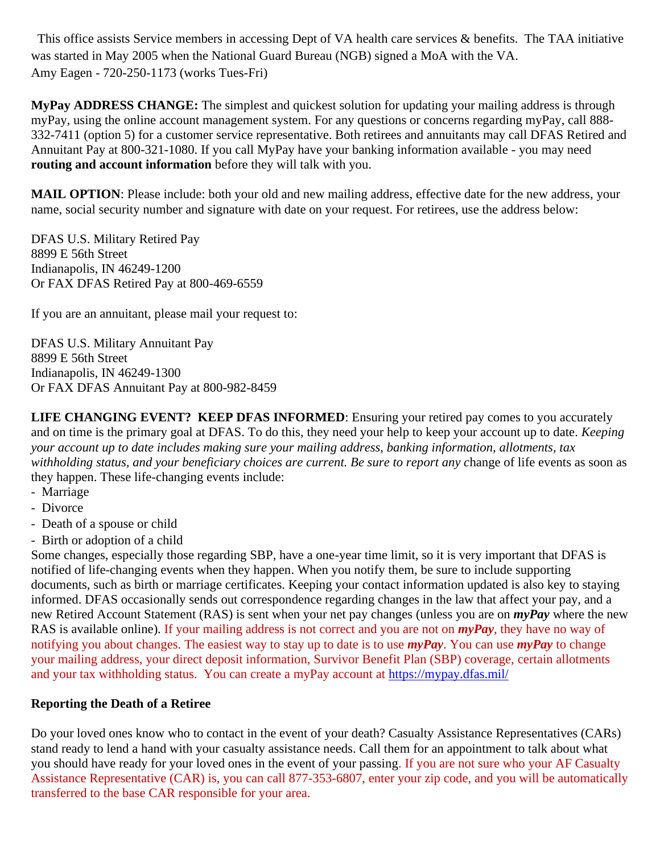This office assists Service members in accessing Dept of VA health care services & benefits. The TAA initiative was started in May 2005 when the National Guard Bureau (NGB) signed a MoA with the VA. Amy Eagen - 720-250-1173 (works Tues-Fri)

**MyPay ADDRESS CHANGE:** The simplest and quickest solution for updating your mailing address is through myPay, using the online account management system. For any questions or concerns regarding myPay, call 888- 332-7411 (option 5) for a customer service representative. Both retirees and annuitants may call DFAS Retired and Annuitant Pay at 800-321-1080. If you call MyPay have your banking information available - you may need **routing and account information** before they will talk with you.

**MAIL OPTION**: Please include: both your old and new mailing address, effective date for the new address, your name, social security number and signature with date on your request. For retirees, use the address below:

DFAS U.S. Military Retired Pay 8899 E 56th Street Indianapolis, IN 46249-1200 Or FAX DFAS Retired Pay at 800-469-6559

If you are an annuitant, please mail your request to:

DFAS U.S. Military Annuitant Pay 8899 E 56th Street Indianapolis, IN 46249-1300 Or FAX DFAS Annuitant Pay at 800-982-8459

**LIFE CHANGING EVENT? KEEP DFAS INFORMED:** Ensuring your retired pay comes to you accurately and on time is the primary goal at DFAS. To do this, they need your help to keep your account up to date. *Keeping your account up to date includes making sure your mailing address, banking information, allotments, tax withholding status, and your beneficiary choices are current. Be sure to report any c*hange of life events as soon as they happen. These life-changing events include:

- Marriage
- Divorce
- Death of a spouse or child
- Birth or adoption of a child

Some changes, especially those regarding SBP, have a one-year time limit, so it is very important that DFAS is notified of life-changing events when they happen. When you notify them, be sure to include supporting documents, such as birth or marriage certificates. Keeping your contact information updated is also key to staying informed. DFAS occasionally sends out correspondence regarding changes in the law that affect your pay, and a new Retired Account Statement (RAS) is sent when your net pay changes (unless you are on *myPay* where the new RAS is available online). If your mailing address is not correct and you are not on *myPay*, they have no way of notifying you about changes. The easiest way to stay up to date is to use *myPay*. You can use *myPay* to change your mailing address, your direct deposit information, Survivor Benefit Plan (SBP) coverage, certain allotments and your tax withholding status. You can create a myPay account at <https://mypay.dfas.mil/>

#### **Reporting the Death of a Retiree**

Do your loved ones know who to contact in the event of your death? Casualty Assistance Representatives (CARs) stand ready to lend a hand with your casualty assistance needs. Call them for an appointment to talk about what you should have ready for your loved ones in the event of your passing. If you are not sure who your AF Casualty Assistance Representative (CAR) is, you can call 877-353-6807, enter your zip code, and you will be automatically transferred to the base CAR responsible for your area.